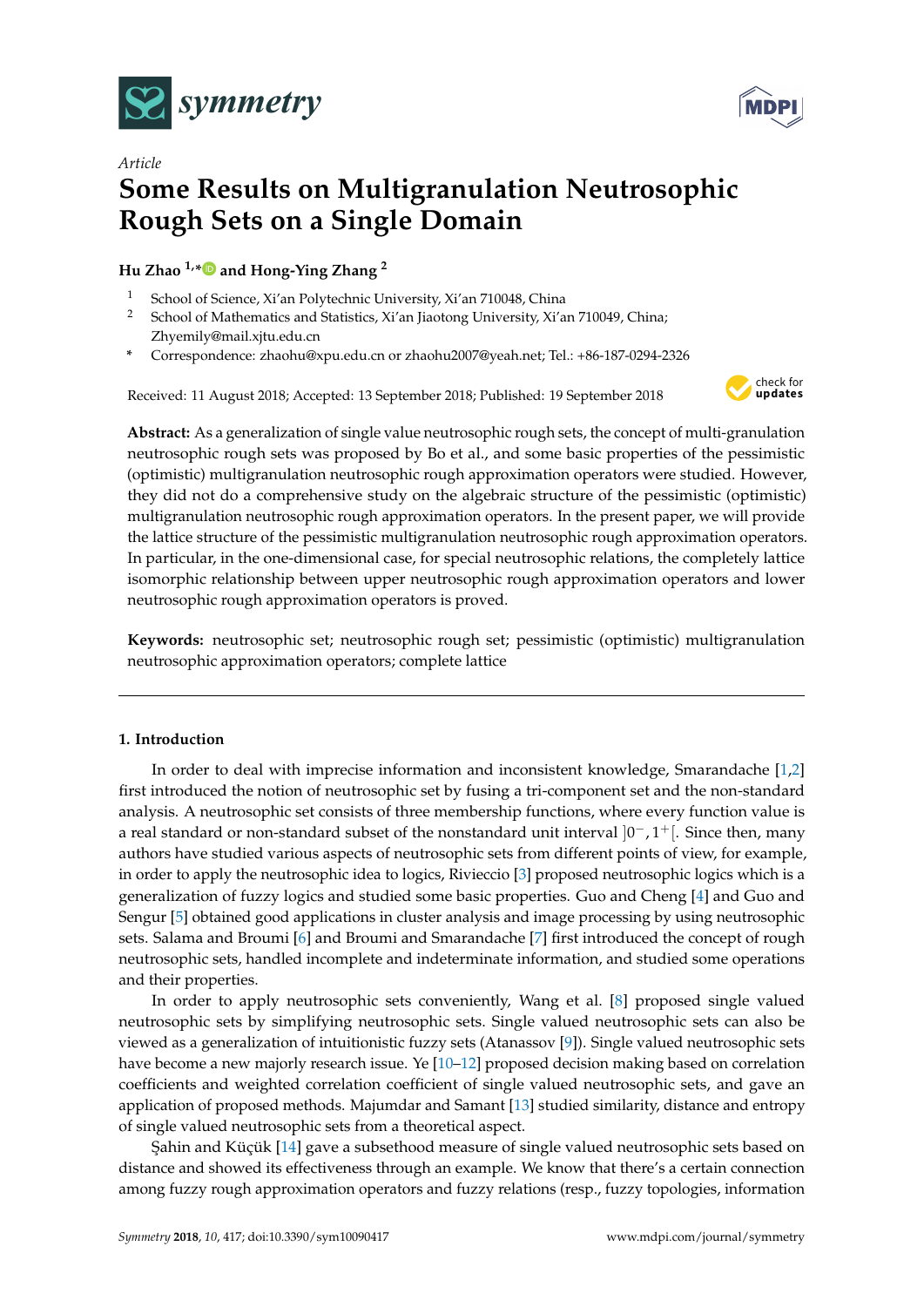



# *Article* **Some Results on Multigranulation Neutrosophic Rough Sets on a Single Domain**

**Hu Zhao 1,[\\*](https://orcid.org/0000-0002-3094-1210) and Hong-Ying Zhang <sup>2</sup>**

- <sup>1</sup> School of Science, Xi'an Polytechnic University, Xi'an 710048, China<br><sup>2</sup> School of Mathematics and Statistics, Xi'an linetong University, Xi'a
- <sup>2</sup> School of Mathematics and Statistics, Xi'an Jiaotong University, Xi'an 710049, China; Zhyemily@mail.xjtu.edu.cn
- **\*** Correspondence: zhaohu@xpu.edu.cn or zhaohu2007@yeah.net; Tel.: +86-187-0294-2326

Received: 11 August 2018; Accepted: 13 September 2018; Published: 19 September 2018



**Abstract:** As a generalization of single value neutrosophic rough sets, the concept of multi-granulation neutrosophic rough sets was proposed by Bo et al., and some basic properties of the pessimistic (optimistic) multigranulation neutrosophic rough approximation operators were studied. However, they did not do a comprehensive study on the algebraic structure of the pessimistic (optimistic) multigranulation neutrosophic rough approximation operators. In the present paper, we will provide the lattice structure of the pessimistic multigranulation neutrosophic rough approximation operators. In particular, in the one-dimensional case, for special neutrosophic relations, the completely lattice isomorphic relationship between upper neutrosophic rough approximation operators and lower neutrosophic rough approximation operators is proved.

**Keywords:** neutrosophic set; neutrosophic rough set; pessimistic (optimistic) multigranulation neutrosophic approximation operators; complete lattice

# **1. Introduction**

In order to deal with imprecise information and inconsistent knowledge, Smarandache [\[1](#page-10-0)[,2\]](#page-10-1) first introduced the notion of neutrosophic set by fusing a tri-component set and the non-standard analysis. A neutrosophic set consists of three membership functions, where every function value is a real standard or non-standard subset of the nonstandard unit interval  $]0^-,1^+[$ . Since then, many authors have studied various aspects of neutrosophic sets from different points of view, for example, in order to apply the neutrosophic idea to logics, Rivieccio [\[3\]](#page-10-2) proposed neutrosophic logics which is a generalization of fuzzy logics and studied some basic properties. Guo and Cheng [\[4\]](#page-10-3) and Guo and Sengur [\[5\]](#page-10-4) obtained good applications in cluster analysis and image processing by using neutrosophic sets. Salama and Broumi [\[6\]](#page-10-5) and Broumi and Smarandache [\[7\]](#page-10-6) first introduced the concept of rough neutrosophic sets, handled incomplete and indeterminate information, and studied some operations and their properties.

In order to apply neutrosophic sets conveniently, Wang et al. [\[8\]](#page-10-7) proposed single valued neutrosophic sets by simplifying neutrosophic sets. Single valued neutrosophic sets can also be viewed as a generalization of intuitionistic fuzzy sets (Atanassov [\[9\]](#page-10-8)). Single valued neutrosophic sets have become a new majorly research issue. Ye [\[10](#page-10-9)[–12\]](#page-10-10) proposed decision making based on correlation coefficients and weighted correlation coefficient of single valued neutrosophic sets, and gave an application of proposed methods. Majumdar and Samant [\[13\]](#page-10-11) studied similarity, distance and entropy of single valued neutrosophic sets from a theoretical aspect.

Sahin and Küçük [\[14\]](#page-10-12) gave a subsethood measure of single valued neutrosophic sets based on distance and showed its effectiveness through an example. We know that there's a certain connection among fuzzy rough approximation operators and fuzzy relations (resp., fuzzy topologies, information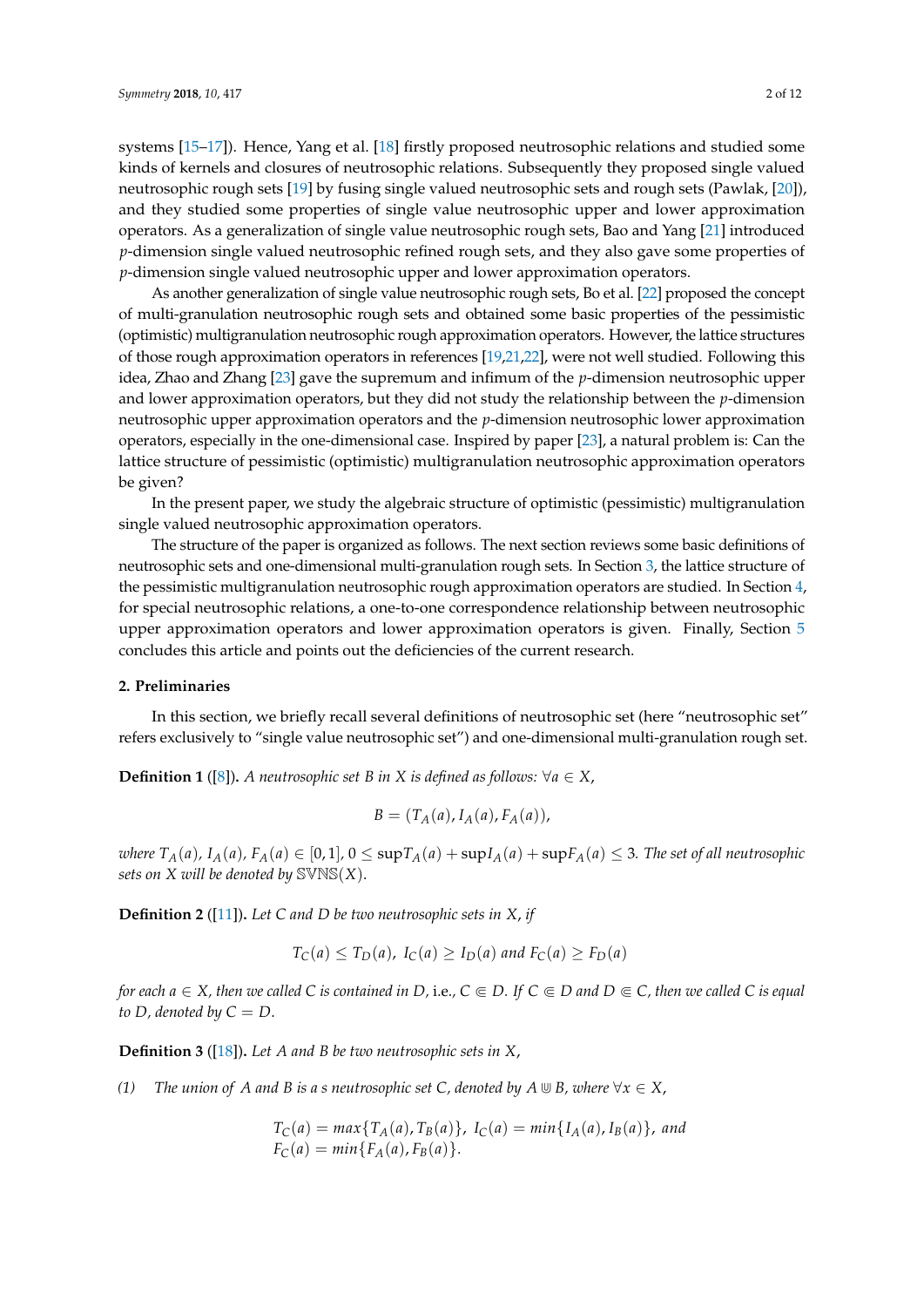systems [\[15–](#page-10-13)[17\]](#page-10-14)). Hence, Yang et al. [\[18\]](#page-10-15) firstly proposed neutrosophic relations and studied some kinds of kernels and closures of neutrosophic relations. Subsequently they proposed single valued neutrosophic rough sets [\[19\]](#page-11-0) by fusing single valued neutrosophic sets and rough sets (Pawlak, [\[20\]](#page-11-1)), and they studied some properties of single value neutrosophic upper and lower approximation operators. As a generalization of single value neutrosophic rough sets, Bao and Yang [\[21\]](#page-11-2) introduced *p*-dimension single valued neutrosophic refined rough sets, and they also gave some properties of *p*-dimension single valued neutrosophic upper and lower approximation operators.

As another generalization of single value neutrosophic rough sets, Bo et al. [\[22\]](#page-11-3) proposed the concept of multi-granulation neutrosophic rough sets and obtained some basic properties of the pessimistic (optimistic) multigranulation neutrosophic rough approximation operators. However, the lattice structures of those rough approximation operators in references [\[19](#page-11-0)[,21,](#page-11-2)[22\]](#page-11-3), were not well studied. Following this idea, Zhao and Zhang [\[23\]](#page-11-4) gave the supremum and infimum of the *p*-dimension neutrosophic upper and lower approximation operators, but they did not study the relationship between the *p*-dimension neutrosophic upper approximation operators and the *p*-dimension neutrosophic lower approximation operators, especially in the one-dimensional case. Inspired by paper [\[23\]](#page-11-4), a natural problem is: Can the lattice structure of pessimistic (optimistic) multigranulation neutrosophic approximation operators be given?

In the present paper, we study the algebraic structure of optimistic (pessimistic) multigranulation single valued neutrosophic approximation operators.

The structure of the paper is organized as follows. The next section reviews some basic definitions of neutrosophic sets and one-dimensional multi-granulation rough sets. In Section [3,](#page-2-0) the lattice structure of the pessimistic multigranulation neutrosophic rough approximation operators are studied. In Section [4,](#page-7-0) for special neutrosophic relations, a one-to-one correspondence relationship between neutrosophic upper approximation operators and lower approximation operators is given. Finally, Section [5](#page-9-0) concludes this article and points out the deficiencies of the current research.

### **2. Preliminaries**

In this section, we briefly recall several definitions of neutrosophic set (here "neutrosophic set" refers exclusively to "single value neutrosophic set") and one-dimensional multi-granulation rough set.

**Definition 1** ([\[8\]](#page-10-7))**.** *A neutrosophic set B in X is defined as follows:* ∀*a* ∈ *X*,

$$
B=(T_A(a), I_A(a), F_A(a)),
$$

where  $T_A(a)$ ,  $I_A(a)$ ,  $F_A(a) \in [0,1]$ ,  $0 \leq \sup T_A(a) + \sup I_A(a) + \sup F_A(a) \leq 3$ . The set of all neutrosophic *sets on X will be denoted by* SVNS(*X*).

**Definition 2** ([\[11\]](#page-10-16))**.** *Let C and D be two neutrosophic sets in X*, *if*

$$
T_C(a) \le T_D(a), I_C(a) \ge I_D(a) \text{ and } F_C(a) \ge F_D(a)
$$

*for each*  $a \in X$ *, then we called*  $C$  *is contained in*  $D$ *, i.e.,*  $C \subseteq D$ *. If*  $C \subseteq D$  *and*  $D \subseteq C$ *, then we called*  $C$  *is equal to D, denoted by*  $C = D$ .

**Definition 3** ([\[18\]](#page-10-15))**.** *Let A and B be two neutrosophic sets in X*,

*(1) The union of A and B is a s neutrosophic set C, denoted by*  $A \cup B$ *, where*  $\forall x \in X$ ,

$$
T_C(a) = max\{T_A(a), T_B(a)\}, I_C(a) = min\{I_A(a), I_B(a)\}, and
$$
  

$$
F_C(a) = min\{F_A(a), F_B(a)\}.
$$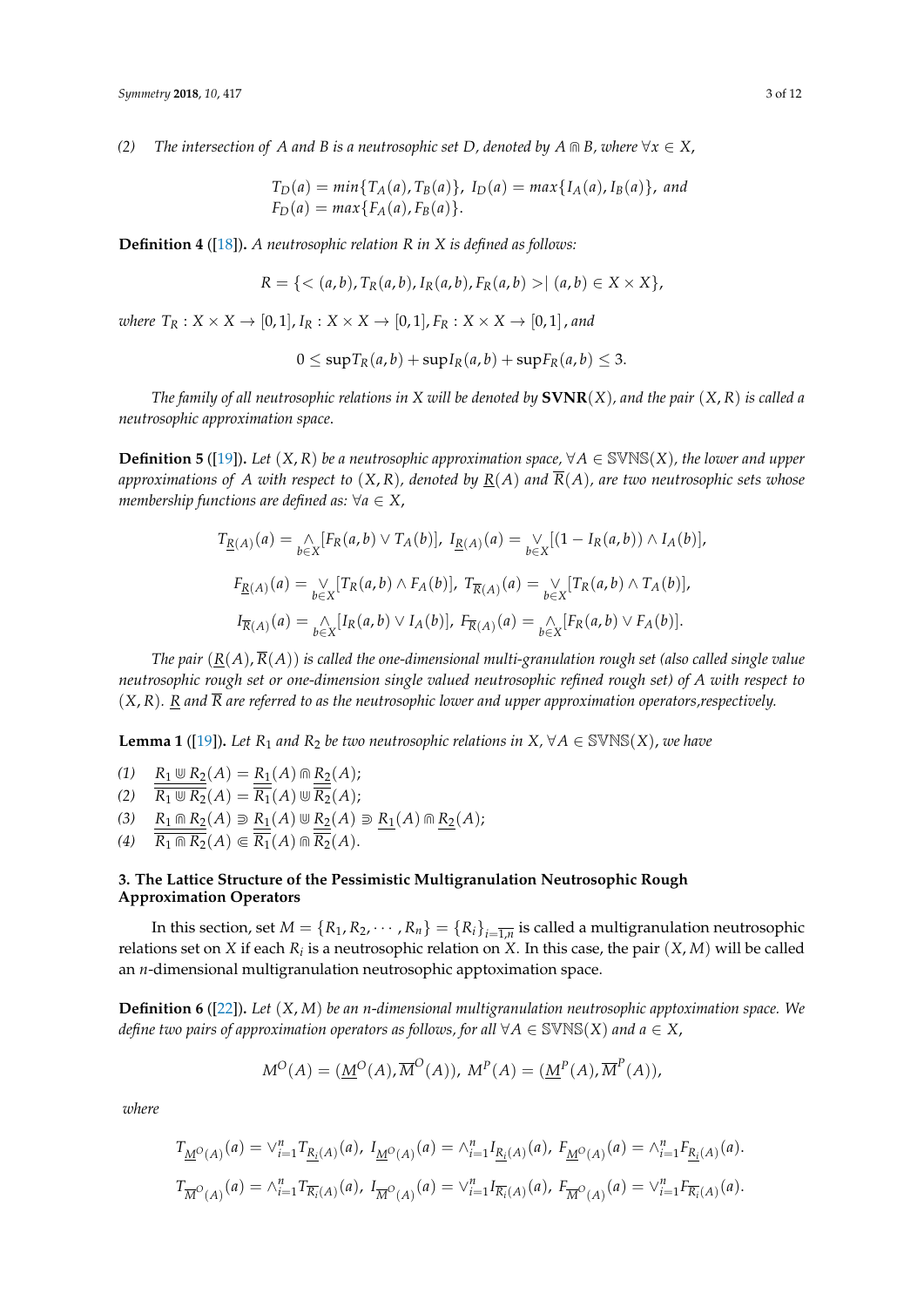*(2) The intersection of A and B is a neutrosophic set D, denoted by A*  $\cap$  *B, where*  $\forall x \in X$ ,

$$
T_D(a) = min\{T_A(a), T_B(a)\}, I_D(a) = max\{I_A(a), I_B(a)\}, and
$$
  

$$
F_D(a) = max\{F_A(a), F_B(a)\}.
$$

**Definition 4** ([\[18\]](#page-10-15))**.** *A neutrosophic relation R in X is defined as follows:*

$$
R = \{ \langle (a,b), T_R(a,b), I_R(a,b), F_R(a,b) \rangle | (a,b) \in X \times X \},\
$$

*where*  $T_R$  :  $X \times X \to [0, 1]$ ,  $I_R$  :  $X \times X \to [0, 1]$ ,  $F_R$  :  $X \times X \to [0, 1]$ , and

$$
0 \leq \sup T_R(a,b) + \sup I_R(a,b) + \sup F_R(a,b) \leq 3.
$$

*The family of all neutrosophic relations in X will be denoted by* **SVNR**(*X*)*, and the pair* (*X*, *R*) *is called a neutrosophic approximation space*.

**Definition 5** ([\[19\]](#page-11-0)). Let  $(X, R)$  be a neutrosophic approximation space,  $\forall A \in \mathbb{S} \mathbb{N} \mathbb{S}(X)$ , the lower and upper approximations of A with respect to  $(X, R)$ , denoted by  $R(A)$  and  $\overline{R}(A)$ , are two neutrosophic sets whose *membership functions are defined as:*  $\forall a \in X$ ,

$$
T_{\underline{R}(A)}(a) = \bigwedge_{b \in X} [F_R(a, b) \vee T_A(b)], \ I_{\underline{R}(A)}(a) = \bigvee_{b \in X} [(1 - I_R(a, b)) \wedge I_A(b)],
$$
  

$$
F_{\underline{R}(A)}(a) = \bigvee_{b \in X} [T_R(a, b) \wedge F_A(b)], \ T_{\overline{R}(A)}(a) = \bigvee_{b \in X} [T_R(a, b) \wedge T_A(b)],
$$
  

$$
I_{\overline{R}(A)}(a) = \bigwedge_{b \in X} [I_R(a, b) \vee I_A(b)], \ F_{\overline{R}(A)}(a) = \bigwedge_{b \in X} [F_R(a, b) \vee F_A(b)].
$$

*The pair*  $(R(A), \overline{R}(A))$  *is called the one-dimensional multi-granulation rough set (also called single value neutrosophic rough set or one-dimension single valued neutrosophic refined rough set) of A with respect to* (*X*, *R*)*. R and R are referred to as the neutrosophic lower and upper approximation operators,respectively.*

**Lemma 1** ([\[19\]](#page-11-0)). Let  $R_1$  *and*  $R_2$  *be two neutrosophic relations in*  $X, \forall A \in \text{SWNS}(X)$ *, we have* 

- *(1)*  $R_1 \cup R_2(A) = R_1(A) \cap R_2(A);$  $\overline{R_1 \oplus R_2}(A) = \overline{R_1}(A) \oplus \overline{R_2}(A);$
- $(3)$   $R_1 \cap R_2(A) \supseteq R_1(A) \cup R_2(A) \supseteq R_1(A) \cap R_2(A);$
- $(4)$   $\overline{R_1 \cap R_2}(A) \subset \overline{R_1}(A) \cap \overline{R_2}(A).$

## <span id="page-2-0"></span>**3. The Lattice Structure of the Pessimistic Multigranulation Neutrosophic Rough Approximation Operators**

In this section, set  $M = \{R_1, R_2, \cdots, R_n\} = \{R_i\}_{i = \overline{1,n}}$  is called a multigranulation neutrosophic relations set on *X* if each *R<sup>i</sup>* is a neutrosophic relation on *X*. In this case, the pair (*X*, *M*) will be called an *n*-dimensional multigranulation neutrosophic apptoximation space.

**Definition 6** ([\[22\]](#page-11-3))**.** *Let* (*X*, *M*) *be an n*-*dimensional multigranulation neutrosophic apptoximation space. We define two pairs of approximation operators as follows, for all*  $\forall A \in \mathbb{S} \mathbb{N} \mathbb{S}(X)$  *and*  $a \in X$ ,

$$
M^{O}(A) = (\underline{M}^{O}(A), \overline{M}^{O}(A)), M^{P}(A) = (\underline{M}^{P}(A), \overline{M}^{P}(A)),
$$

*where*

$$
T_{\underline{M}^{\circ}(A)}(a) = \vee_{i=1}^{n} T_{\underline{R}_{i}(A)}(a), I_{\underline{M}^{\circ}(A)}(a) = \wedge_{i=1}^{n} I_{\underline{R}_{i}(A)}(a), F_{\underline{M}^{\circ}(A)}(a) = \wedge_{i=1}^{n} F_{\underline{R}_{i}(A)}(a).
$$
  

$$
T_{\overline{M}^{\circ}(A)}(a) = \wedge_{i=1}^{n} T_{\overline{R}_{i}(A)}(a), I_{\overline{M}^{\circ}(A)}(a) = \vee_{i=1}^{n} I_{\overline{R}_{i}(A)}(a), F_{\overline{M}^{\circ}(A)}(a) = \vee_{i=1}^{n} F_{\overline{R}_{i}(A)}(a).
$$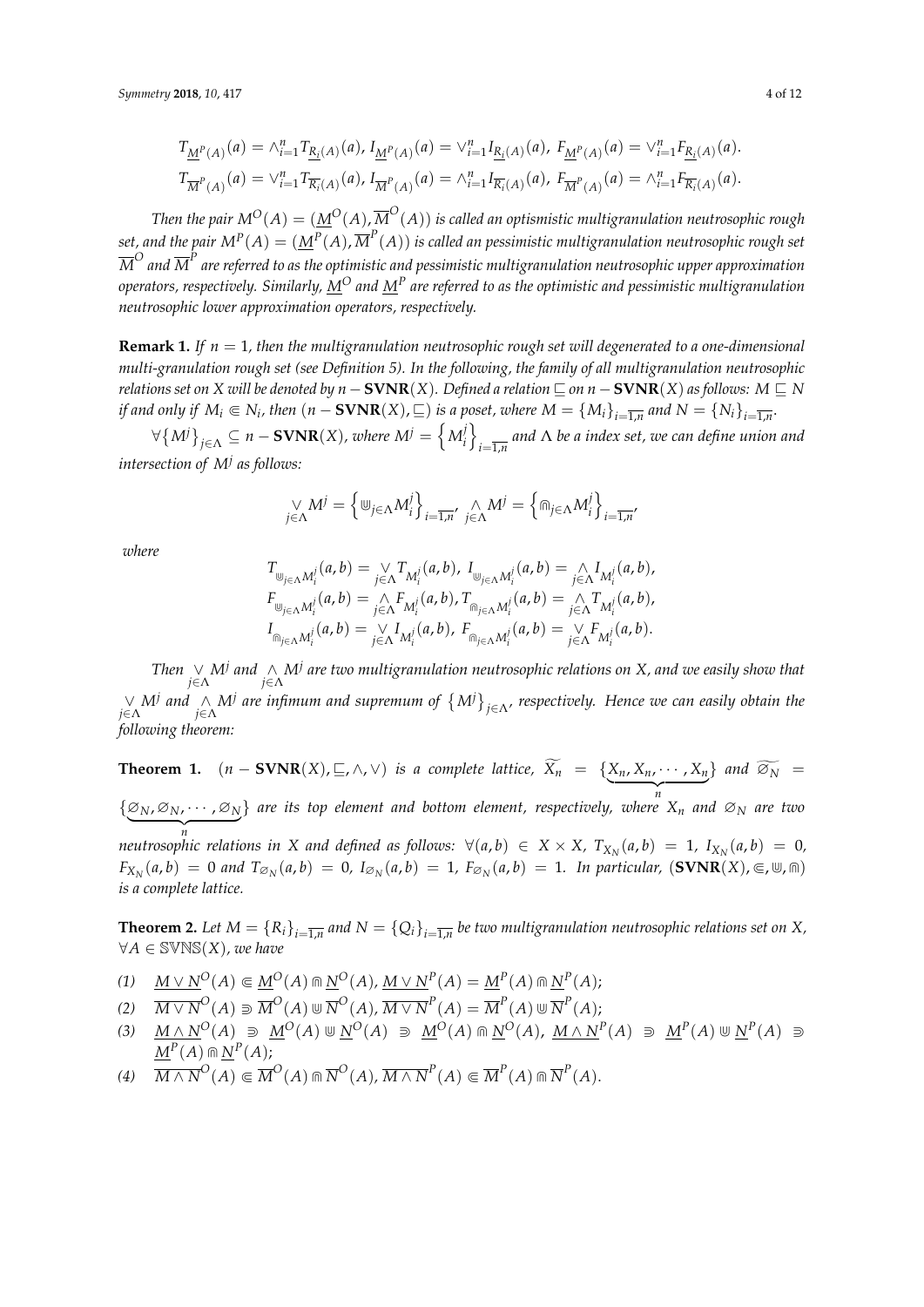$$
T_{\underline{M}^P(A)}(a) = \wedge_{i=1}^n T_{\underline{R_i}(A)}(a), I_{\underline{M}^P(A)}(a) = \vee_{i=1}^n I_{\underline{R_i}(A)}(a), F_{\underline{M}^P(A)}(a) = \vee_{i=1}^n F_{\underline{R_i}(A)}(a).
$$
  
\n
$$
T_{\overline{M}^P(A)}(a) = \vee_{i=1}^n T_{\overline{R_i}(A)}(a), I_{\overline{M}^P(A)}(a) = \wedge_{i=1}^n I_{\overline{R_i}(A)}(a), F_{\overline{M}^P(A)}(a) = \wedge_{i=1}^n F_{\overline{R_i}(A)}(a).
$$

*Then the pair*  $\mathrm{M}^O(A)=(\underline{M}^O(A),\overline{M}^O(A))$  *is called an optismistic multigranulation neutrosophic rough* set, and the pair  $M^P(A)=(\underline{M}^P(A),\overline{M}^P(A))$  is called an pessimistic multigranulation neutrosophic rough set  ${\overline M}^O$  and  ${\overline M}^P$  are referred to as the optimistic and pessimistic multigranulation neutrosophic upper approximation *operators, respectively. Similarly, M<sup>O</sup> and M<sup>P</sup> are referred to as the optimistic and pessimistic multigranulation neutrosophic lower approximation operators, respectively.*

**Remark 1.** *If n* = 1*, then the multigranulation neutrosophic rough set will degenerated to a one-dimensional multi-granulation rough set (see Definition 5). In the following, the family of all multigranulation neutrosophic relations set on X will be denoted by*  $n - \textbf{SVR}(X)$ *. Defined a relation*  $\Box$  *on*  $n - \textbf{SVR}(X)$  *as follows:*  $M \Box N$ *if and only if*  $M_i \subseteq N_i$ , then  $(n - \textbf{SVNR}(X), \sqsubseteq)$  *is a poset, where*  $M = \{M_i\}_{i = \overline{1,n}}$  and  $N = \{N_i\}_{i = \overline{1,n}}$ .

 $\forall \left\{M^{j}\right\}_{j \in \Lambda} \subseteq n-\mathbf{SVNR}(X)$ , where  $M^{j}=\left\{M^{j}_{i}\right\}_{i,j \in \Lambda}$ *j*  $\left\{\begin{array}{c} i \end{array}\right\}$ *i*=1,*n and* Λ *be a index set, we can define union and intersection of M<sup>j</sup> as follows:*

$$
\bigcup_{j \in \Lambda} M^j = \left\{ \bigcup_{j \in \Lambda} M_i^j \right\}_{i = \overline{1,n}}, \bigcap_{j \in \Lambda} M^j = \left\{ \bigcap_{j \in \Lambda} M_i^j \right\}_{i = \overline{1,n}}
$$

*where*

$$
T_{\bigcup_{j\in \Lambda} M_i^j}(a, b) = \bigvee_{j\in \Lambda} T_{M_i^j}(a, b), I_{\bigcup_{j\in \Lambda} M_i^j}(a, b) = \bigwedge_{j\in \Lambda} I_{M_i^j}(a, b),
$$
  
\n
$$
F_{\bigcup_{j\in \Lambda} M_i^j}(a, b) = \bigwedge_{j\in \Lambda} F_{M_i^j}(a, b), T_{\bigcap_{j\in \Lambda} M_i^j}(a, b) = \bigwedge_{j\in \Lambda} T_{M_i^j}(a, b),
$$
  
\n
$$
I_{\bigcap_{j\in \Lambda} M_i^j}(a, b) = \bigvee_{j\in \Lambda} I_{M_i^j}(a, b), F_{\bigcap_{j\in \Lambda} M_i^j}(a, b) = \bigvee_{j\in \Lambda} F_{M_i^j}(a, b).
$$

*Then* ∨ *j*∈Λ *M<sup>j</sup> and* ∧ *j*∈Λ *M<sup>j</sup> are two multigranulation neutrosophic relations on X, and we easily show that* ∨ *j*∈Λ *M<sup>j</sup> and* ∧ *j*∈Λ *M<sup>j</sup> are infimum and supremum of M<sup>j</sup> j*∈Λ *, respectively. Hence we can easily obtain the following theorem:*

**Theorem 1.**  $(n - \textbf{SVNR}(X), \sqsubseteq, \wedge, \vee)$  *is a complete lattice,*  $\widetilde{X}_n = \{ \underbrace{X_n, X_n, \cdots, X_n}_{n} \}$  *and*  $\widetilde{\emptyset}_N = \{ \underbrace{X_n, X_n, \cdots, X_n}_{n} \}$ n<br>*{*∅<sub>*N*</sub>, ∅<sub>*N*</sub>, · · · , ∅<sub>N</sub>} are its top element and bottom element, respectively, where  $\overbrace{n}$ neutrosophic relations in X and defined as follows:  $\forall (a,b) \in X \times X$ ,  $T_{X_N}(a,b) = 1$ ,  $I_{X_N}(a,b) = 0$ , } *are its top element and bottom element, respectively, where X<sup>n</sup> and* ∅*<sup>N</sup> are two*  $F_{X_N}(a,b) = 0$  and  $T_{\varnothing_N}(a,b) = 0$ ,  $I_{\varnothing_N}(a,b) = 1$ ,  $F_{\varnothing_N}(a,b) = 1$ . In particular,  $(\textbf{SVNR}(X), \infty, \emptyset, \text{m})$ *is a complete lattice.*

**Theorem 2.** Let  $M = \{R_i\}_{i=\overline{1,n}}$  and  $N = \{Q_i\}_{i=\overline{1,n}}$  be two multigranulation neutrosophic relations set on X, ∀*A* ∈ SVNS(*X*)*, we have*

- $M \vee N^O(A) \subseteq M^O(A) \cap N^O(A)$ ,  $M \vee N^P(A) = M^P(A) \cap N^P(A)$ ;
- $\overline{M} \vee \overline{N}^O(A) \supseteq \overline{M}^O(A) \cup \overline{N}^O(A), \overline{M \vee N}^P(A) = \overline{M}^P(A) \cup \overline{N}^P(A);$
- $\hspace{1cm} (3) \quad \underline{M\wedge N^O}(A)\ \ni\ \underline{M^O}(A)\ \textcolor{red}{\,\circ\!\!\!\! \circ\,} \underline{N^O}(A)\ \ni\ \underline{M^O}(A)\ \textcolor{red}{\,\circ\!\!\!\! \circ\,} \underline{N^O}(A),\ \underline{M\wedge N^P}(A)\ \ni\ \underline{M^P}(A)\ \textcolor{red}{\,\circ\!\!\!\! \circ\,} \underline{N^P}(A)\ \textcolor{red}{\,\circ\!\!\!\! \circ\,}$  $\underline{M}^P(A) \Cap \underline{N}^P(A)$ ;
- $\overline{M \wedge N}^O(A) \subseteq \overline{M}^O(A) \cap \overline{N}^O(A), \overline{M \wedge N}^P(A) \subseteq \overline{M}^P(A) \cap \overline{N}^P(A).$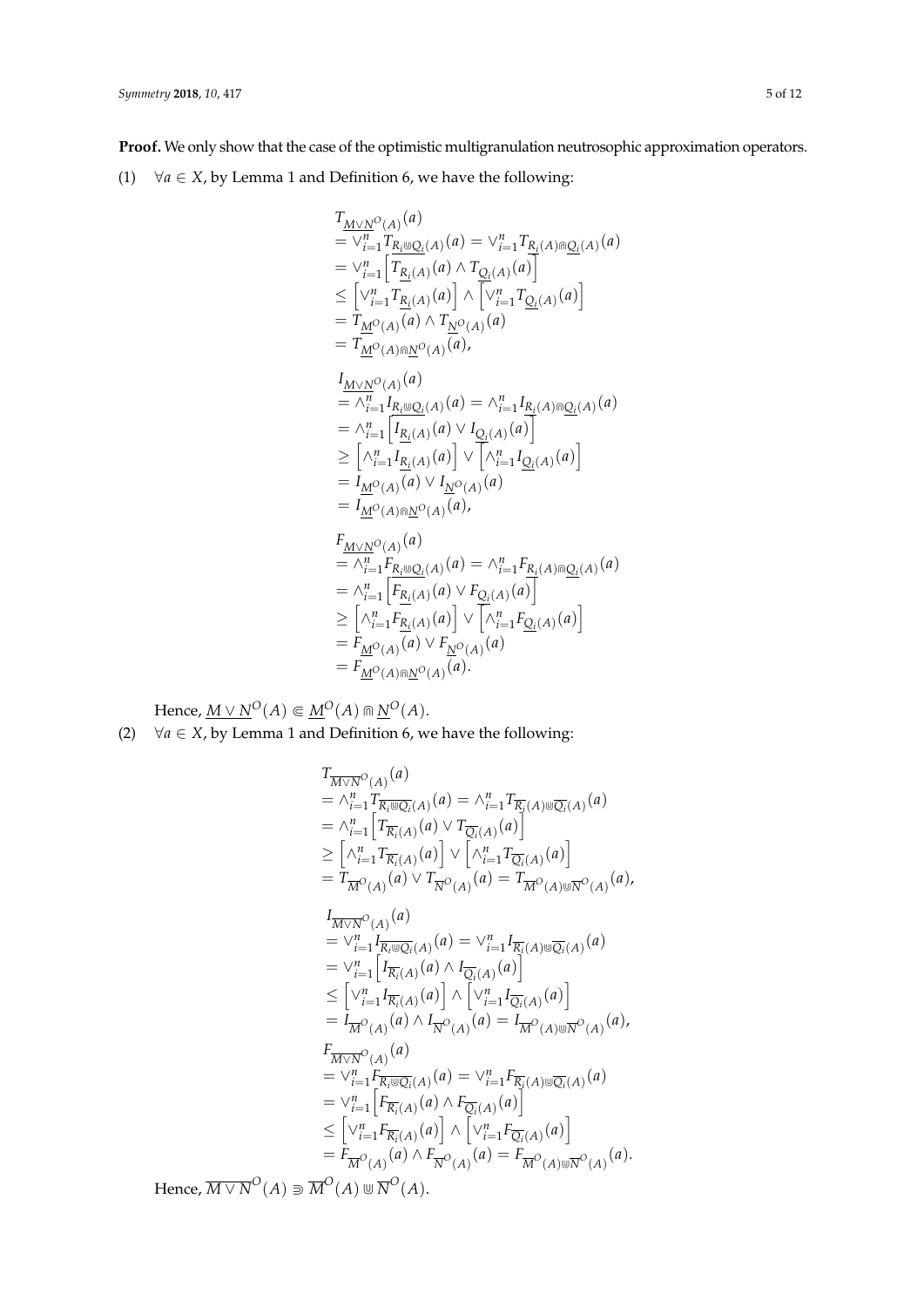**Proof.** We only show that the case of the optimistic multigranulation neutrosophic approximation operators.

(1)  $\forall a \in X$ , by Lemma 1 and Definition 6, we have the following:

$$
T_{\underline{M}\vee \underline{N}^{O}(A)}(a)
$$
\n
$$
= \vee_{i=1}^{n} T_{R_{i} \cup Q_{i}}(A)(a) = \vee_{i=1}^{n} T_{R_{i}}(A) \cap Q_{i}(A)(a)
$$
\n
$$
= \vee_{i=1}^{n} \left[ T_{R_{i}}(A)(a) \wedge T_{Q_{i}}(A)(a) \right]
$$
\n
$$
\leq \left[ \vee_{i=1}^{n} T_{R_{i}}(A)(a) \right] \wedge \left[ \vee_{i=1}^{n} T_{Q_{i}}(A)(a) \right]
$$
\n
$$
= T_{\underline{M}^{O}(A)}(a) \wedge T_{\underline{N}^{O}(A)}(a)
$$
\n
$$
= T_{\underline{M}^{O}(A)\cap \underline{M}^{O}(A)}(a),
$$
\n
$$
I_{\underline{M}\vee \underline{N}^{O}(A)}(a)
$$
\n
$$
= \wedge_{i=1}^{n} I_{R_{i} \cup Q_{i}}(A)(a) = \wedge_{i=1}^{n} I_{R_{i}}(A) \cap Q_{i}(A)
$$
\n
$$
= \wedge_{i=1}^{n} \left[ I_{R_{i}}(A)(a) \vee I_{Q_{i}}(A)(a) \right]
$$
\n
$$
\geq \left[ \wedge_{i=1}^{n} I_{R_{i}}(A)(a) \right] \vee \left[ \wedge_{i=1}^{n} I_{Q_{i}}(A)(a) \right]
$$
\n
$$
= I_{\underline{M}^{O}(A)}(a) \vee I_{\underline{N}^{O}(A)}(a)
$$
\n
$$
= I_{\underline{M}^{O}(A)\cap \underline{M}^{O}(A)}(a),
$$
\n
$$
F_{\underline{M}\vee \underline{N}^{O}(A)}(a)
$$
\n
$$
= \wedge_{i=1}^{n} F_{R_{i}}(A)(a) \vee F_{\infty}(A)(a)
$$
\n
$$
= \wedge_{i=1}^{n} F_{R_{i}}(A)(a) \vee F_{\infty}(A)(a)
$$
\n
$$
= \wedge_{i=1}^{n} F_{R_{i}}(A)(a) \vee F_{\infty}(A)(a)
$$

$$
= \wedge_{i=1}^{n} F_{R_i \cup Q_i}(A) \cup \cdots \wedge_{i=1}^{n} F_{R_i}(A) \cap Q_i(A) \cup
$$
  
\n
$$
= \wedge_{i=1}^{n} \left[ F_{R_i(A)}(a) \vee F_{Q_i(A)}(a) \right]
$$
  
\n
$$
\geq \left[ \wedge_{i=1}^{n} F_{R_i(A)}(a) \right] \vee \left[ \wedge_{i=1}^{n} F_{Q_i(A)}(a) \right]
$$
  
\n
$$
= F_{M^O(A)}(a) \vee F_{N^O(A)}(a)
$$
  
\n
$$
= F_{M^O(A) \cap N^O(A)}(a).
$$

 $H$ ence,  $\underline{M} \vee \underline{N}^O(A) \Subset \underline{M}^O(A) \Cap \underline{N}^O(A).$ (2)  $\forall a \in X$ , by Lemma 1 and Definition 6, we have the following:

$$
T_{\overline{M}\vee\overline{N}^{O}(A)}(a)
$$
  
\n
$$
= \wedge_{i=1}^{n} T_{\overline{R_{i}} \otimes \overline{Q_{i}}(A)}(a) = \wedge_{i=1}^{n} T_{\overline{R_{i}}(A)\otimes \overline{Q_{i}}(A)}(a)
$$
  
\n
$$
= \wedge_{i=1}^{n} \left[ T_{\overline{R_{i}}(A)}(a) \vee T_{\overline{Q_{i}}(A)}(a) \right]
$$
  
\n
$$
\geq \left[ \wedge_{i=1}^{n} T_{\overline{R_{i}}(A)}(a) \right] \vee \left[ \wedge_{i=1}^{n} T_{\overline{Q_{i}}(A)}(a) \right]
$$
  
\n
$$
= T_{\overline{M}^{O}(A)}(a) \vee T_{\overline{N}^{O}(A)}(a) = T_{\overline{M}^{O}(A)\otimes \overline{N}^{O}(A)}(a),
$$
  
\n
$$
I_{\overline{M}\vee\overline{N}^{O}(A)}(a)
$$
  
\n
$$
= \vee_{i=1}^{n} I_{\overline{R_{i}} \otimes \overline{Q_{i}}(A)}(a) = \vee_{i=1}^{n} I_{\overline{R_{i}}(A)\otimes \overline{Q_{i}}(A)}(a)
$$
  
\n
$$
= \vee_{i=1}^{n} \left[ I_{\overline{R_{i}}(A)}(a) \wedge I_{\overline{Q_{i}}(A)}(a) \right]
$$
  
\n
$$
\leq \left[ \vee_{i=1}^{n} I_{\overline{R_{i}}(A)}(a) \right] \wedge \left[ \vee_{i=1}^{n} I_{\overline{Q_{i}}(A)}(a) \right]
$$
  
\n
$$
= I_{\overline{M}^{O}(A)}(a)
$$
  
\n
$$
F_{\overline{M}\vee\overline{N}^{O}(A)}(a)
$$
  
\n
$$
= \vee_{i=1}^{n} \left[ F_{\overline{R_{i}}(A)}(a) \wedge F_{\overline{Q_{i}}(A)}(a) \right]
$$
  
\n
$$
= \vee_{i=1}^{
$$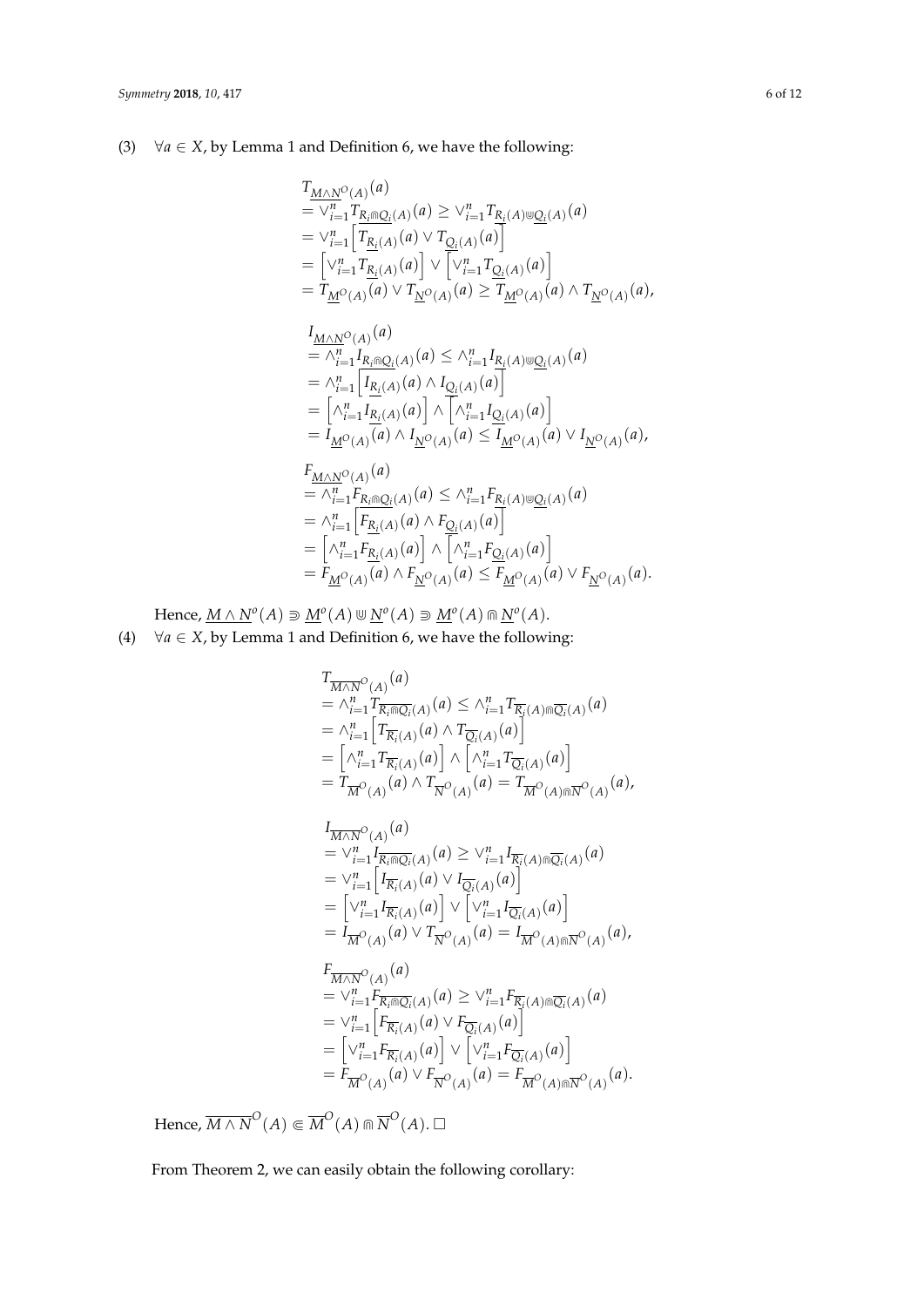(3)  $\forall a \in X$ , by Lemma 1 and Definition 6, we have the following:

$$
T_{\underline{M}\wedge \underline{N}^{O}(A)}(a)
$$
  
=  $\vee_{i=1}^{n} T_{\underline{R}_{i} \cap \underline{Q}_{i}(A)}(a) \ge \vee_{i=1}^{n} T_{\underline{R}_{i}(A) \cup \underline{Q}_{i}(A)}(a)$   
=  $\vee_{i=1}^{n} \left[ T_{\underline{R}_{i}(A)}(a) \vee T_{\underline{Q}_{i}(A)}(a) \right]$   
=  $\left[ \vee_{i=1}^{n} T_{\underline{R}_{i}(A)}(a) \right] \vee \left[ \vee_{i=1}^{n} T_{\underline{Q}_{i}(A)}(a) \right]$   
=  $T_{\underline{M}^{O}(A)}(a) \vee T_{\underline{N}^{O}(A)}(a) \ge T_{\underline{M}^{O}(A)}(a) \wedge T_{\underline{N}^{O}(A)}(a),$ 

$$
I_{\underline{M}\wedge \underline{N}^O(A)}(a)
$$
  
=  $\wedge_{i=1}^n I_{R_i \cap Q_i(A)}(a) \le \wedge_{i=1}^n I_{R_i(A) \cup Q_i(A)}(a)$   
=  $\wedge_{i=1}^n \Big[ I_{\underline{R}_i(A)}(a) \wedge I_{Q_i(A)}(a) \Big]$   
=  $\Big[ \wedge_{i=1}^n I_{\underline{R}_i(A)}(a) \Big] \wedge \Big[ \wedge_{i=1}^n I_{Q_i(A)}(a) \Big]$   
=  $I_{\underline{M}^O(A)}(a) \wedge I_{\underline{N}^O(A)}(a) \le I_{\underline{M}^O(A)}(a) \vee I_{\underline{N}^O(A)}(a),$ 

$$
F_{\underline{M}\wedge \underline{N}^O(A)}(a)
$$
  
=  $\wedge_{i=1}^n F_{R_i \cap Q_i(A)}(a) \le \wedge_{i=1}^n F_{R_i(A) \cup Q_i(A)}(a)$   
=  $\wedge_{i=1}^n \left[ F_{R_i(A)}(a) \wedge F_{Q_i(A)}(a) \right]$   
=  $\left[ \wedge_{i=1}^n F_{R_i(A)}(a) \right] \wedge \left[ \wedge_{i=1}^n F_{Q_i(A)}(a) \right]$   
=  $F_{\underline{M}^O(A)}(a) \wedge F_{\underline{N}^O(A)}(a) \le F_{\underline{M}^O(A)}(a) \vee F_{\underline{N}^O(A)}(a).$ 

 $\text{Hence, } \underline{M} \wedge \underline{N}^o(A) \supseteq \underline{M}^o(A) \cup \underline{N}^o(A) \supseteq \underline{M}^o(A) \cap \underline{N}^o(A).$ (4)  $\forall a \in X$ , by Lemma 1 and Definition 6, we have the following:

$$
T_{\overline{M \wedge N}}(A) \stackrel{(a)}{=} \wedge_{i=1}^{n} T_{\overline{R_{i}}(A)}(a) \leq \wedge_{i=1}^{n} T_{\overline{R_{i}}(A)}(a) \wedge T_{\overline{Q_{i}}(A)}(a)
$$
\n
$$
= \wedge_{i=1}^{n} \Big[ T_{\overline{R_{i}}(A)}(a) \wedge T_{\overline{Q_{i}}(A)}(a) \Big]
$$
\n
$$
= \Big[ \wedge_{i=1}^{n} T_{\overline{R_{i}}(A)}(a) \Big] \wedge \Big[ \wedge_{i=1}^{n} T_{\overline{Q_{i}}(A)}(a) \Big]
$$
\n
$$
= T_{\overline{M}}(A) \wedge T_{\overline{N}}(A) \Big] \wedge \Big[ \wedge_{i=1}^{n} T_{\overline{Q_{i}}(A)}(a) \Big]
$$
\n
$$
= T_{\overline{M}}(A) \wedge T_{\overline{N}}(A) \Big] \wedge \Big[ \wedge_{i=1}^{n} T_{\overline{Q_{i}}(A)}(a) \Big]
$$
\n
$$
= \vee_{i=1}^{n} I_{\overline{R_{i}}(A)}(a) \geq \vee_{i=1}^{n} I_{\overline{R_{i}}(A)}(A) \otimes T_{\overline{Q_{i}}(A)}(a)
$$
\n
$$
= \vee_{i=1}^{n} \Big[ T_{\overline{R_{i}}(A)}(a) \vee T_{\overline{Q_{i}}(A)}(a) \Big]
$$
\n
$$
= \Big[ \vee_{i=1}^{n} I_{\overline{R_{i}}(A)}(a) \Big] \vee \Big[ \vee_{i=1}^{n} I_{\overline{Q_{i}}(A)}(a) \Big]
$$
\n
$$
= I_{\overline{M}}(A) \vee T_{\overline{N}}(A) \Big] \wedge \Big[ \vee_{i=1}^{n} I_{\overline{R_{i}}(A)}(a) \Big]
$$
\n
$$
= \vee_{i=1}^{n} I_{\overline{R_{i}}(A)}(a) \vee T_{\overline{Q_{i}}(A)}(a) \Big]
$$
\n
$$
= \
$$

 $\text{Hence, } \overline{M \wedge N}^O(A) \Subset \overline{M}^O(A) \Cap \overline{N}^O(A).$   $\Box$ 

From Theorem 2, we can easily obtain the following corollary: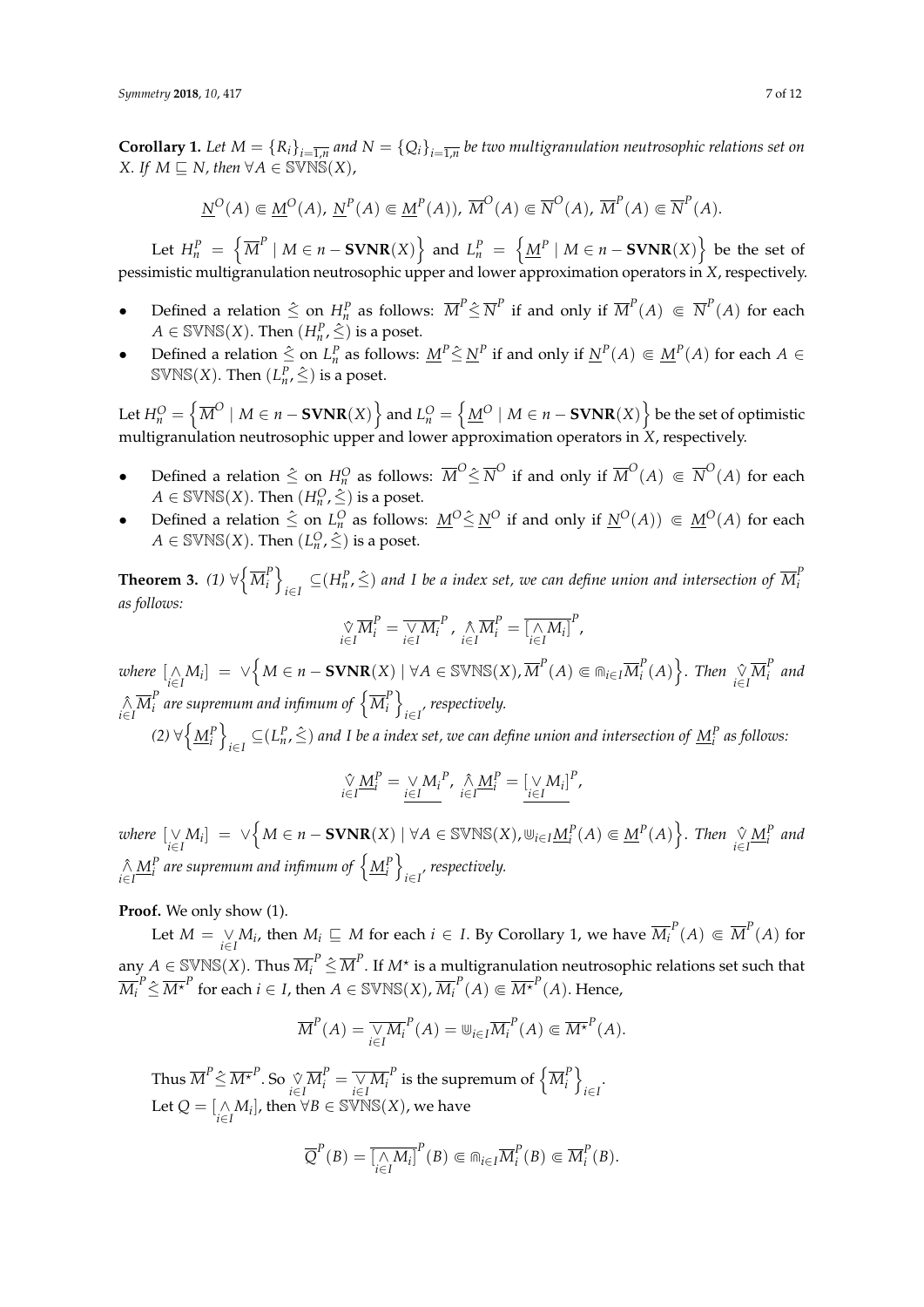**Corollary 1.** Let  $M = \{R_i\}_{i=\overline{1,n}}$  and  $N = \{Q_i\}_{i=\overline{1,n}}$  be two multigranulation neutrosophic relations set on *X.* If  $M \sqsubseteq N$ , then  $\forall A \in \text{SVNS}(X)$ ,

$$
\underline{N}^O(A) \in \underline{M}^O(A), \ \underline{N}^P(A) \in \underline{M}^P(A)), \ \overline{M}^O(A) \in \overline{N}^O(A), \ \overline{M}^P(A) \in \overline{N}^P(A).
$$

Let  $H_n^P = \left\{ \overline{M}^P \mid M \in n - \textbf{SVNR}(X) \right\}$  and  $L_n^P = \left\{ \underline{M}^P \mid M \in n - \textbf{SVNR}(X) \right\}$  be the set of pessimistic multigranulation neutrosophic upper and lower approximation operators in *X*, respectively.

- Defined a relation  $\leq$  on  $H_n^p$  as follows:  $\overline{M}^p \leq \overline{N}^p$  if and only if  $\overline{M}^p(A) \subseteq \overline{N}^p(A)$  for each  $A \in \text{SWNS}(X)$ . Then  $(H_n^P, \hat{\leq})$  is a poset.
- Defined a relation  $\leq$  on  $L_n^P$  as follows:  $\underline{M}^P \leq \underline{N}^P$  if and only if  $\underline{N}^P(A) \subseteq \underline{M}^P(A)$  for each  $A \in$  $\text{SWNS}(X)$ . Then  $(L^P_n, \hat{\le})$  is a poset.

Let  $H_n^O=\left\{\overline{M}^O\mid M\in n-\mathbf{SVNR}(X)\right\}$  and  $L_n^O=\left\{\underline{M}^O\mid M\in n-\mathbf{SVNR}(X)\right\}$  be the set of optimistic multigranulation neutrosophic upper and lower approximation operators in *X*, respectively.

- Defined a relation  $\leq$  on  $H_n^O$  as follows:  $\overline{M}^O \leq \overline{N}^O$  if and only if  $\overline{M}^O(A) \subseteq \overline{N}^O(A)$  for each  $A \in \text{SWNS}(X)$ . Then  $(H_n^O, \hat{\leq})$  is a poset.
- Defined a relation  $\leq$  on  $L_n^O$  as follows:  $M^O \leq M^O$  if and only if  $M^O(A)$   $\in M^O(A)$  for each  $A \in \text{SWNS}(X)$ . Then  $(L_n^O, \hat{\le})$  is a poset.

Theorem 3. *(1)*  $\forall \left\{ \overline{M}^P_i \right\}$  $\begin{bmatrix} P \\ i \end{bmatrix}$ *i*∈*I*  $\subseteq$  (*H*<sup>*P*</sup>,  $\hat{\le}$ ) and *I be a index set, we can define union and intersection of*  $\overline{M}^P_i$ *i as follows:*

$$
\underset{i \in I}{\hat{\vee}} \overline{M}_i^P = \overline{\underset{i \in I}{\vee} M_i}^P, \underset{i \in I}{\hat{\wedge}} \overline{M}_i^P = \overline{\underset{i \in I}{\hat{\wedge}} M_i}^P,
$$

 $i$ *where*  $[\bigwedge_{i \in I} M_i] = \vee \left\{ M \in n - \mathbf{SVMR}(X) \mid \forall A \in \mathbb{SVNS}(X), \overline{M}^P(A) \Subset \Cap_{i \in I} \overline{M}_i^P \right\}$  $\binom{P}{i}(A)$ . *Then*  $\underset{i \in I}{\sqrt[n]{M_i^P}}$ *i and*  $\bigwedge_{i \in I} \overline{M}_i^P$  $\frac{P}{i}$  are supremum and infimum of  $\left\{\overline{M}^P_i\right\}$  $\begin{bmatrix} P \\ i \end{bmatrix}$ *i*∈*I , respectively.*

 $(2) \forall \left\{\underline{M}_{i}^{P}\right\}$ *i*∈*I*  $\subseteq$  ( $L_n^P$ ,  $\hat{\le}$ ) and I be a index set, we can define union and intersection of  $\underline{M}_i^P$  as follows:

$$
\underset{i\in I}{\hat{\vee}}\underline{M}_{i}^{P}=\underset{i\in I}{\vee}\underline{M}_{i}^{P},\underset{i\in I}{\hat{\wedge}}\underline{M}_{i}^{P}=\underset{i\in I}{\underline{[\vee}}\underline{M}_{i}\underline{]}^{P},
$$

where  $[\bigvee\limits_{i\in I}M_i] = \vee\Big\{M\in n-\mathbf{SVNR}(X)\mid \forall A\in \mathbb{SVNS}(X), \Cup_{i\in I}\underline{M}_i^P(A)\Subset \underline{M}^P(A)\Big\}.$  Then  $\bigvee\limits_{i\in I}\underline{M}_i^P$  and  $\hat{\wedge} \underline{M}^P_i$  are supremum and infimum of  $\left\{\underline{M}^P_i\right\}$ *i*∈*I , respectively.*

**Proof.** We only show (1).

Let  $M = \bigvee_{i \in I} M_i$ , then  $M_i \sqsubseteq M$  for each  $i \in I$ . By Corollary 1, we have  $\overline{M_i}^P(A) \Subset \overline{M}^P(A)$  for any  $A\in\mathbb{S} \mathbb{V}\mathbb{NS}(X).$  Thus  $\overline{M}^P_i\hat{\leq}\overline{M}^P.$  If  $M^\star$  is a multigranulation neutrosophic relations set such that  $\overline{M_i}^P \hat{\leq} \overline{M^\star}^P$  for each  $i \in I$ , then  $A \in \mathbb{SWNS}(X)$ ,  $\overline{M_i}^P(A) \Subset \overline{M^\star}^P(A).$  Hence,

$$
\overline{M}^P(A) = \overline{\underset{i \in I}{\vee} M_i}^P(A) = \mathbb{U}_{i \in I} \overline{M_i}^P(A) \Subset \overline{M^{\star}}^P(A).
$$

Thus  $\overline{M}^P\hat{\leq}\overline{M^\star}^P.$  So  $\underset{i\in I}{\sqrt[N]{M_i^P}}=\overline{\underset{i\in I}{\sqrt[M_i^P}}$  is the supremum of  $\left\{\overline{M}_i^P\right\}$  $\begin{bmatrix} P \\ i \end{bmatrix}$ *i*∈*I* . Let  $Q = \left[\underset{i \in I}{\wedge} M_i\right]$ , then  $\forall B \in \text{SVNS}(X)$ , we have

$$
\overline{Q}^P(B) = \overline{\left[\underset{i \in I}{\wedge} M_i\right]}^P(B) \Subset \widehat{\mathsf{m}}_{i \in I} \overline{M}_i^P(B) \Subset \overline{M}_i^P(B).
$$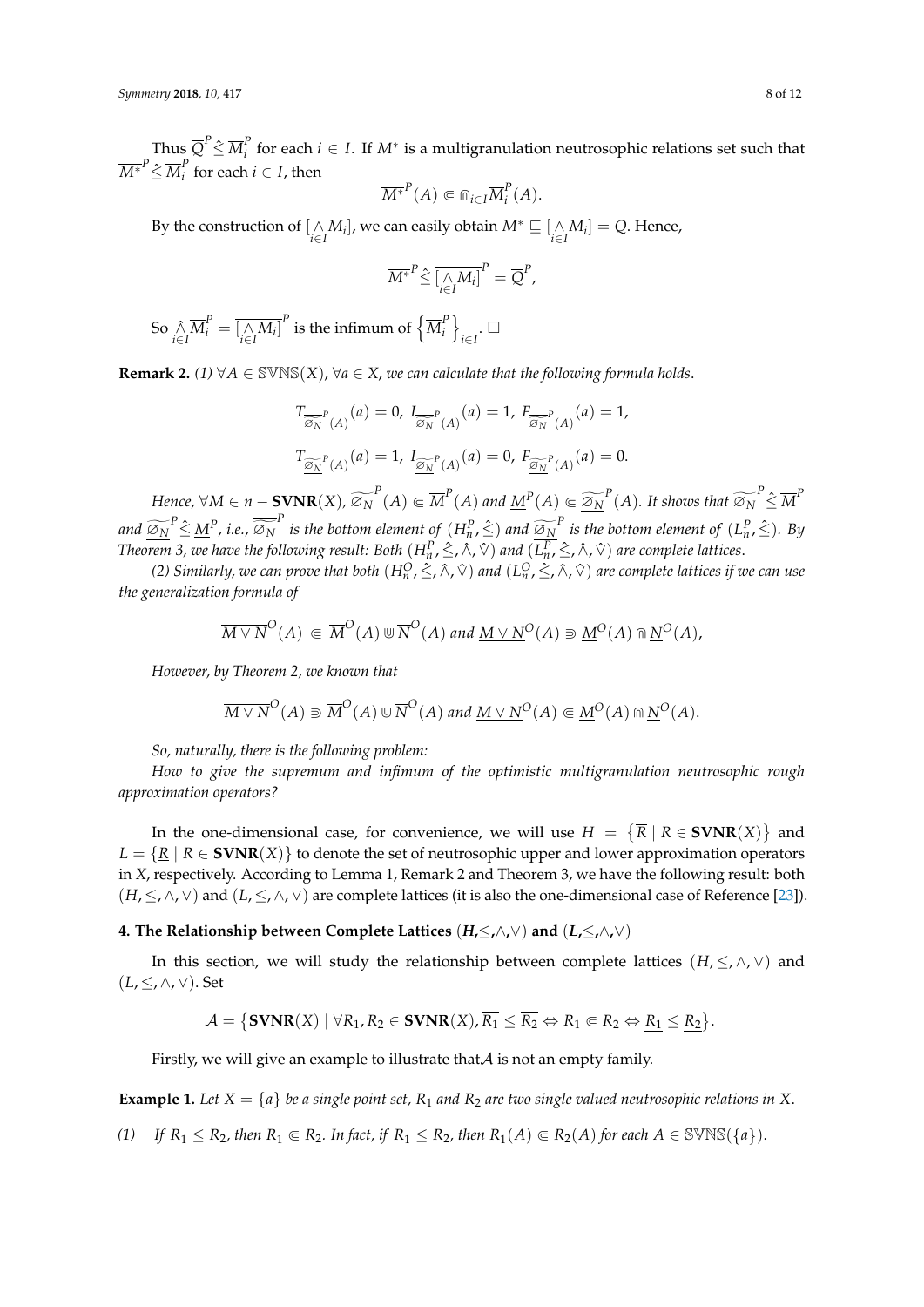Thus  $\overline{Q}^P \hat{\leq} \, \overline{M}^P_i$ *i*<sup>*f*</sup> for each *i* ∈ *I*. If *M*<sup>∗</sup> is a multigranulation neutrosophic relations set such that  $\overline{M^*}^P \hat{\leq} \, \overline{M}^P_i$ *i f* **f** *o i f**f***<b>***f f***<b>***n<i>f**<i>f**<i>f***<b>***<i>n***<sub>***f***</sub>** *<i>f**<i>f**<i>f**<i>f**<i>f**<i>f**<i>f**<i>f**<i>f**<i>f**<i>f**<i>f**<i>f**<i>f**<i>f**<i>f**<i>f**<i>f**<i>f**<i>f***</sup>** *<i>f**<i>f**<i>f*

$$
\overline{M^*}^P(A) \in \text{m}_{i \in I} \overline{M}_i^P(A).
$$

By the construction of  $[\bigwedge_{i \in I} M_i]$ , we can easily obtain  $M^* \sqsubseteq [\bigwedge_{i \in I} M_i] = Q$ . Hence,

$$
\overline{M^*}^P \hat{\leq} \overline{\left[\underset{i \in I}{\wedge} M_i\right]^P} = \overline{Q}^P,
$$

So  $\bigwedge_{i \in I} \overline{M}_i^P = \overline{\big[ \bigwedge_{i \in I} M_i \big]}^P$  is the infimum of  $\left\{ \overline{M}_i^P \right\}$  $\begin{bmatrix} P \\ i \end{bmatrix}$  $\sum_{i\in I}$ .

**Remark 2.**  $(1)$   $\forall A \in \text{SVNS}(X)$ ,  $\forall a \in X$ , we can calculate that the following formula holds.

$$
T_{\overline{\widehat{\mathcal{Q}}_N}^P(A)}(a) = 0, I_{\overline{\widehat{\mathcal{Q}}_N}^P(A)}(a) = 1, F_{\overline{\widehat{\mathcal{Q}}_N}^P(A)}(a) = 1,
$$
  

$$
T_{\underline{\widehat{\mathcal{Q}}_N}^P(A)}(a) = 1, I_{\underline{\widehat{\mathcal{Q}}_N}^P(A)}(a) = 0, F_{\underline{\widehat{\mathcal{Q}}_N}^P(A)}(a) = 0.
$$

Hence,  $\forall M \in n - \text{SVNR}(X)$ ,  $\overline{\widetilde{\otimes_N}}^P(A) \Subset \overline{M}^P(A)$  and  $\underline{M}^P(A) \Subset \underline{\widetilde{\otimes_N}}^P(A)$ . It shows that  $\overline{\widetilde{\otimes_N}}^P \hat{\leq M}^P$ and  $\widetilde{\omega_N}^P \hat{\leq} \underline{M}^P$ , i.e.,  $\overline{\widetilde{\omega_N}}^P$  is the bottom element of  $(H_n^P, \hat{\leq})$  and  $\widetilde{\omega_N}^P$  is the bottom element of  $(L_n^P, \hat{\leq})$ . By *Theorem 3, we have the following result: Both*  $(H^P_n,\hat{\leq},\wedge,\vee)$  *and*  $(L^P_n,\hat{\leq},\wedge,\vee)$  *are complete lattices.* 

*(2) Similarly, we can prove that both*  $(H_n^O, \leq, \land, \lor)$  *and*  $(L_n^O, \leq, \land, \lor)$  *are complete lattices if we can use the generalization formula of*

$$
\overline{M \vee N}^O(A) \subseteq \overline{M}^O(A) \cup \overline{N}^O(A) \text{ and } \underline{M \vee N}^O(A) \supseteq \underline{M}^O(A) \cap \underline{N}^O(A),
$$

*However, by Theorem 2, we known that*

$$
\overline{M \vee N}^O(A) \supseteq \overline{M}^O(A) \cup \overline{N}^O(A) \text{ and } \underline{M \vee N}^O(A) \subseteq \underline{M}^O(A) \cap \underline{N}^O(A).
$$

*So, naturally, there is the following problem:*

*How to give the supremum and infimum of the optimistic multigranulation neutrosophic rough approximation operators?*

In the one-dimensional case, for convenience, we will use  $H = \{ \overline{R} \mid R \in \mathbf{SVNR}(X) \}$  and  $L = \{R \mid R \in \text{SVNR}(X)\}\$  to denote the set of neutrosophic upper and lower approximation operators in *X*, respectively. According to Lemma 1, Remark 2 and Theorem 3, we have the following result: both (*H*, ≤, ∧, ∨) and (*L*, ≤, ∧, ∨) are complete lattices (it is also the one-dimensional case of Reference [\[23\]](#page-11-4)).

<span id="page-7-0"></span>**4. The Relationship between Complete Lattices** (*H***,**≤**,**∧**,**∨) **and** (*L***,**≤**,**∧**,**∨)

In this section, we will study the relationship between complete lattices  $(H, \leq, \wedge, \vee)$  and (*L*, ≤, ∧, ∨). Set

$$
\mathcal{A} = \{ \textbf{SVNR}(X) \mid \forall R_1, R_2 \in \textbf{SVNR}(X), \overline{R_1} \leq \overline{R_2} \Leftrightarrow R_1 \Subset R_2 \Leftrightarrow \underline{R_1} \leq \underline{R_2} \}.
$$

Firstly, we will give an example to illustrate that $A$  is not an empty family.

**Example 1.** Let  $X = \{a\}$  be a single point set,  $R_1$  and  $R_2$  are two single valued neutrosophic relations in X.

*(1) If*  $\overline{R_1} \leq \overline{R_2}$ , then  $R_1 \in R_2$ . In fact, if  $\overline{R_1} \leq \overline{R_2}$ , then  $\overline{R_1}(A) \in \overline{R_2}(A)$  for each  $A \in \text{SWNS}(\{a\})$ .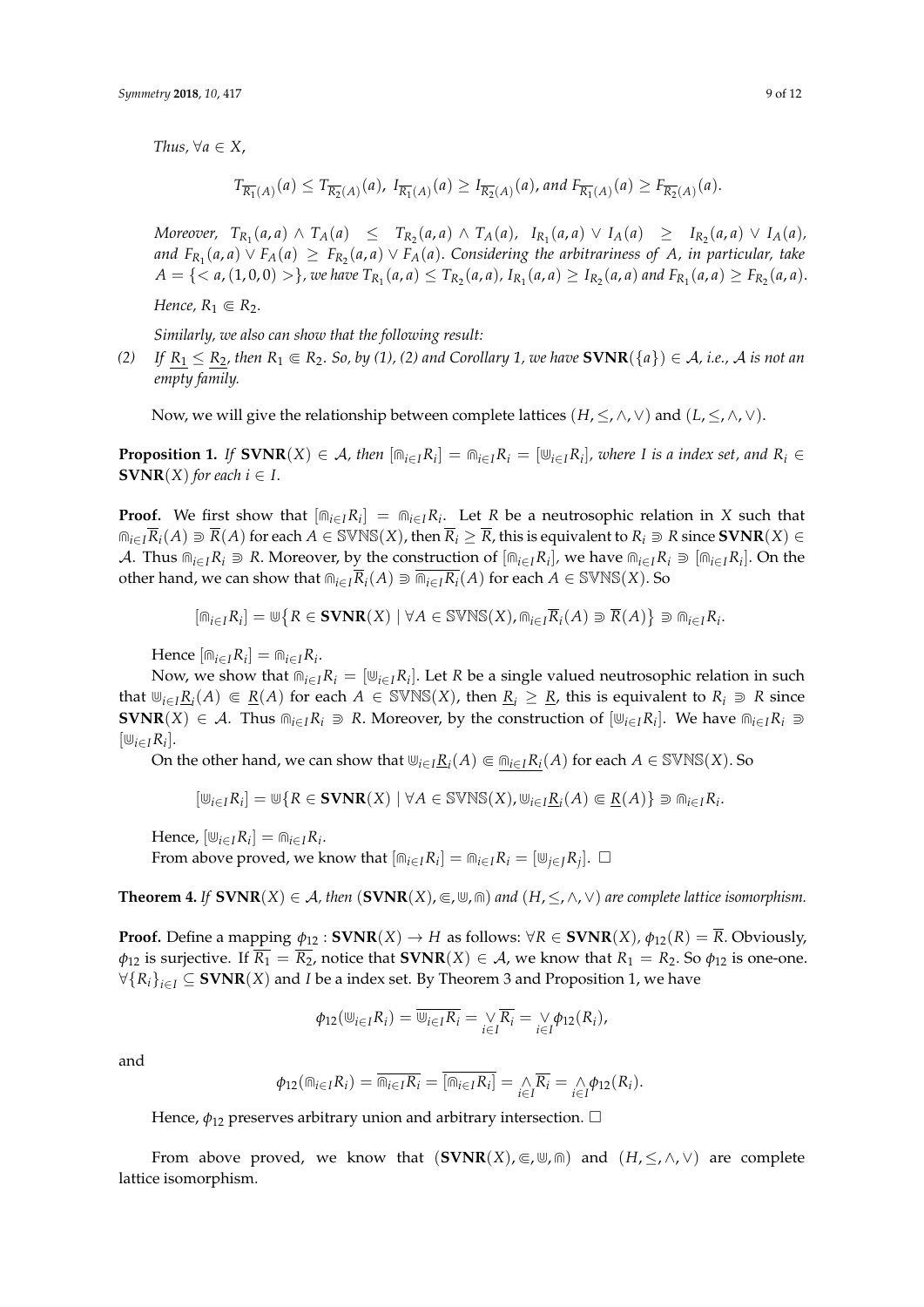*Thus,*  $\forall a \in X$ ,

$$
T_{\overline{R_1}(A)}(a) \leq T_{\overline{R_2}(A)}(a), I_{\overline{R_1}(A)}(a) \geq I_{\overline{R_2}(A)}(a), and F_{\overline{R_1}(A)}(a) \geq F_{\overline{R_2}(A)}(a).
$$

Moreover,  $T_{R_1}(a,a) \wedge T_A(a) \leq T_{R_2}(a,a) \wedge T_A(a)$ ,  $I_{R_1}(a,a) \vee I_A(a) \geq I_{R_2}(a,a) \vee I_A(a)$ , *and*  $F_{R_1}(a,a) ∨ F_A(a) ≥ F_{R_2}(a,a) ∨ F_A(a)$ . Considering the arbitrariness of A, in particular, take  $A = \{ \}$ , we have  $T_{R_1}(a,a) \le T_{R_2}(a,a)$ ,  $I_{R_1}(a,a) \ge I_{R_2}(a,a)$  and  $F_{R_1}(a,a) \ge F_{R_2}(a,a)$ .

*Hence,*  $R_1 \n\in R_2$ *.* 

*Similarly, we also can show that the following result:*

*(2) If*  $R_1 \le R_2$ , then  $R_1 \in R_2$ . So, by (1), (2) and Corollary 1, we have  $\text{SVMR}(\{a\}) \in \mathcal{A}$ , *i.e.*,  $\mathcal{A}$  is not an *empty family.*

Now, we will give the relationship between complete lattices  $(H, \leq, \wedge, \vee)$  and  $(L, \leq, \wedge, \vee)$ .

**Proposition 1.** If  $\textbf{SVMR}(X) \in \mathcal{A}$ , then  $[\text{m}_{i \in I} R_i] = \text{m}_{i \in I} R_i = [\text{m}_{i \in I} R_i]$ , where I is a index set, and  $R_i \in$ **SVNR** $(X)$  *for each*  $i \in I$ .

**Proof.** We first show that  $[\widehat{m}_{i\in I}R_i] = \widehat{m}_{i\in I}R_i$ . Let *R* be a neutrosophic relation in *X* such that  $m_{i\in I}R_i(A) \supseteq R(A)$  for each  $A \in \text{SVN}(X)$ , then  $\overline{R}_i \geq \overline{R}$ , this is equivalent to  $R_i \supseteq R$  since  $\text{SVNR}(X) \in \text{SVN}(X)$ A. Thus  $\widehat{m}_{i\in I}R_i \supseteq R$ . Moreover, by the construction of  $[\widehat{m}_{i\in I}R_i]$ , we have  $\widehat{m}_{i\in I}R_i \supseteq [\widehat{m}_{i\in I}R_i]$ . On the other hand, we can show that  $\widehat{m}_{i\in I}\overline{R}_i(A) \supseteq \overline{m}_{i\in I}\overline{R}_i(A)$  for each  $A \in \text{SWNS}(X)$ . So

$$
[\text{m}_{i \in I}R_i] = \text{w} \{ R \in \text{SVNR}(X) \mid \forall A \in \text{SVNS}(X), \text{m}_{i \in I} \overline{R}_i(A) \supseteq \overline{R}(A) \} \supseteq \text{m}_{i \in I} R_i.
$$

 $Hence \left[\mathbb{m}_{i \in I}R_i\right] = \mathbb{m}_{i \in I}R_i.$ 

Now, we show that  $\widehat{m}_{i \in I}R_i = [\overline{\psi}_{i \in I}R_i]$ . Let *R* be a single valued neutrosophic relation in such that  $\mathbb{U}_{i\in I}$   $\underline{R}_i(A) \in \underline{R}(A)$  for each  $A \in \text{SVNS}(X)$ , then  $\underline{R}_i \geq \underline{R}$ , this is equivalent to  $R_i \supseteq R$  since **SVNR**(*X*) ∈ *A*. Thus  $\widehat{m}_{i \in I} R_i$   $\supseteq R$ . Moreover, by the construction of  $[\psi_{i \in I} R_i]$ . We have  $\widehat{m}_{i \in I} R_i$   $\supseteq R$  $[\mathbf{\omega}_{i\in I}R_i].$ 

On the other hand, we can show that  $\psi_{i\in I}$ <u> $R_i(A)$ </u>  $\in \Omega_{i\in I}$  $R_i(A)$  for each  $A \in \text{SVNS}(X)$ . So

$$
[\mathbb{U}_{i \in I}R_i] = \mathbb{U}\{R \in \text{SVNR}(X) \mid \forall A \in \text{SVNS}(X), \mathbb{U}_{i \in I}\underline{R}_i(A) \Subset \underline{R}(A)\} \supseteq \text{m}_{i \in I}R_i.
$$

 $Hence, [\cup_{i \in I} R_i] = \bigcap_{i \in I} R_i.$ 

From above proved, we know that  $[\widehat{m}_{i\in I}R_i] = \widehat{m}_{i\in I}R_i = [\underbar{\omega}_{j\in J}R_j]$ .  $\Box$ 

**Theorem 4.** *If* **SVNR**(*X*) ∈ *A*, *then* (**SVNR**(*X*),  $\in$ ,  $\uplus$ ,  $\cap$ ) *and* (*H*,  $\leq$ ,  $\wedge$ ,  $\vee$ ) *are complete lattice isomorphism.* 

**Proof.** Define a mapping  $\phi_{12}$ : **SVNR**(*X*)  $\rightarrow$  *H* as follows:  $\forall R \in \textbf{SVNR}(X)$ ,  $\phi_{12}(R) = \overline{R}$ . Obviously,  $\phi_{12}$  is surjective. If  $\overline{R_1} = \overline{R_2}$ , notice that **SVNR**(*X*)  $\in$  *A*, we know that  $R_1 = R_2$ . So  $\phi_{12}$  is one-one.  $\forall \{R_i\}_{i \in I}$  ⊆ **SVNR**(*X*) and *I* be a index set. By Theorem 3 and Proposition 1, we have

$$
\phi_{12}(\mathbf{w}_{i\in I}R_i)=\overline{\mathbf{w}_{i\in I}R_i}=\underset{i\in I}{\vee}\overline{R_i}=\underset{i\in I}{\vee}\phi_{12}(R_i),
$$

and

$$
\phi_{12}(\mathbb{m}_{i\in I}R_i)=\overline{\mathbb{m}_{i\in I}R_i}=\overline{[\mathbb{m}_{i\in I}R_i]}=\bigwedge_{i\in I}\overline{R_i}=\bigwedge_{i\in I}\phi_{12}(R_i).
$$

Hence,  $\phi_{12}$  preserves arbitrary union and arbitrary intersection.  $\Box$ 

From above proved, we know that  $(SVNR(X), \subseteq, \mathbb{U}, \mathbb{M})$  and  $(H, \leq, \wedge, \vee)$  are complete lattice isomorphism.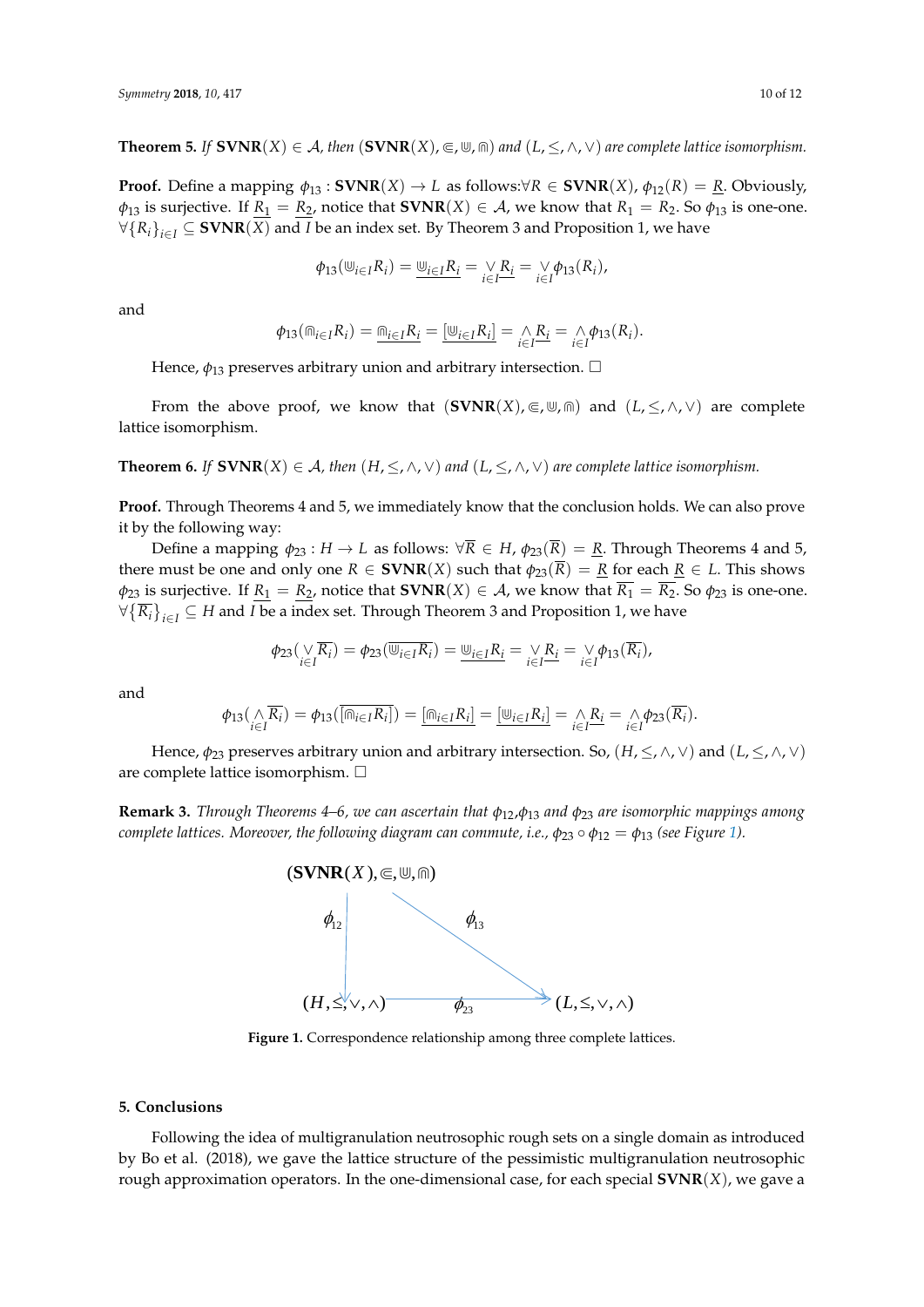**Theorem 5.** *If*  $\textbf{SVMR}(X) \in \mathcal{A}$ , then  $(\textbf{SVNR}(X), \in \mathcal{M})$  and  $(L, \leq, \wedge, \vee)$  are complete lattice isomorphism.

**Proof.** Define a mapping  $\phi_{13}$ : **SVNR** $(X) \rightarrow L$  as follows: $\forall R \in \textbf{SVNR}(X)$ ,  $\phi_{12}(R) = \textbf{R}$ . Obviously,  $\varphi_{13}$  is surjective. If  $R_1 = R_2$ , notice that **SVNR**(*X*)  $\in$  *A*, we know that  $R_1 = R_2$ . So  $\varphi_{13}$  is one-one. ∀{ $R_i$ }<sub>*i∈I*</sub> ⊆ **SVNR**(*X*) and *I* be an index set. By Theorem 3 and Proposition 1, we have

$$
\phi_{13}(\mathbf{W}_{i \in I}R_i) = \mathbf{W}_{i \in I}R_i = \mathbf{W}_{i \in I} = \mathbf{W}_{i \in I} \phi_{13}(R_i),
$$

and

$$
\phi_{13}(\mathbb{m}_{i \in I} R_i) = \underline{\mathbb{m}_{i \in I} R_i} = [\underline{\mathbb{w}_{i \in I} R_i}] = \underset{i \in I}{\wedge} \underline{R_i} = \underset{i \in I}{\wedge} \phi_{13}(R_i).
$$

Hence,  $\phi_{13}$  preserves arbitrary union and arbitrary intersection.  $\Box$ 

From the above proof, we know that  $(SVNR(X), \subseteq, \mathbb{U}, \text{in})$  and  $(L, \leq, \wedge, \vee)$  are complete lattice isomorphism.

**Theorem 6.** *If*  $\textbf{SVNR}(X) \in \mathcal{A}$ , *then*  $(H, \leq, \wedge, \vee)$  *and*  $(L, \leq, \wedge, \vee)$  *are complete lattice isomorphism.* 

**Proof.** Through Theorems 4 and 5, we immediately know that the conclusion holds. We can also prove it by the following way:

Define a mapping  $\phi_{23} : H \to L$  as follows:  $\forall R \in H$ ,  $\phi_{23}(R) = R$ . Through Theorems 4 and 5, there must be one and only one  $R \in \text{SVNR}(X)$  such that  $\phi_{23}(\overline{R}) = \underline{R}$  for each  $\underline{R} \in L$ . This shows  $\phi_{23}$  is surjective. If  $\underline{R}_1 = \underline{R}_2$ , notice that **SVNR**(*X*)  $\in$  *A*, we know that  $\overline{R}_1 = \overline{R}_2$ . So  $\phi_{23}$  is one-one.  $\forall \{\overline{R_i}\}_{i\in I}\subseteq H$  and *I* be a index set. Through Theorem 3 and Proposition 1, we have

$$
\phi_{23}(\sqrt[N]{R_i}) = \phi_{23}(\overline{\mathbb{U}_{i\in I}R_i}) = \underline{\mathbb{U}_{i\in I}R_i} = \sqrt[N]{R_i} = \sqrt[N]{\phi_{13}(\overline{R_i})},
$$

and

$$
\phi_{13}(\bigwedge_{i\in I} \overline{R_i}) = \phi_{13}(\overline{[\mathbb{m}_{i\in I}R_i]}) = \underline{[\mathbb{m}_{i\in I}R_i]} = \underline{[\mathbb{w}_{i\in I}R_i]} = \bigwedge_{i\in I} \overline{R_i} = \bigwedge_{i\in I} \phi_{23}(\overline{R_i}).
$$

Hence, *φ*<sup>23</sup> preserves arbitrary union and arbitrary intersection. So, (*H*, ≤, ∧, ∨) and (*L*, ≤, ∧, ∨) are complete lattice isomorphism.

**Remark 3.** *Through Theorems 4–6, we can ascertain that φ*12,*φ*<sup>13</sup> *and φ*<sup>23</sup> *are isomorphic mappings among complete lattices. Moreover, the following diagram can commute, i.e.,*  $\phi_{23} \circ \phi_{12} = \phi_{13}$  $\phi_{23} \circ \phi_{12} = \phi_{13}$  $\phi_{23} \circ \phi_{12} = \phi_{13}$  *(see Figure 1).* 

<span id="page-9-1"></span>

**Figure 1.** Correspondence relationship among three complete lattices. **Figure 1.** Correspondence relationship among three complete lattices.

#### <span id="page-9-0"></span>Following the idea of multigranulation neutrosophic rough sets on a single domain as **5. Conclusions**

Following the idea of multigranulation neutrosophic rough sets on a single domain as introduced by Bo et al. (2018), we gave the lattice structure of the pessimistic multigranulation neutrosophic rough approximation operators. In the one-dimensional case, for each special  $\text{SVNR}(X)$ , we gave a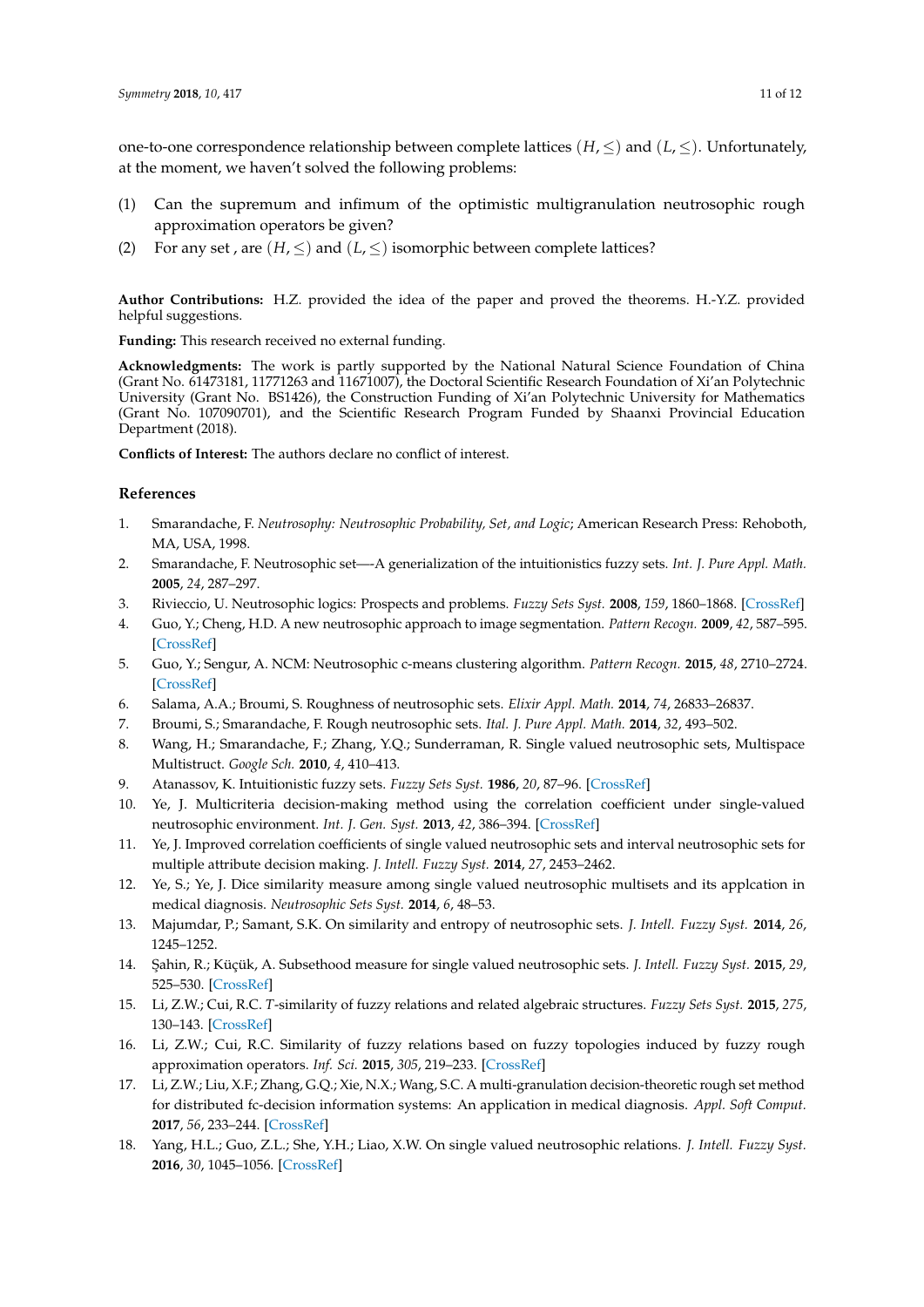one-to-one correspondence relationship between complete lattices ( $H$ ,  $\leq$ ) and ( $L$ ,  $\leq$ ). Unfortunately, at the moment, we haven't solved the following problems:

- (1) Can the supremum and infimum of the optimistic multigranulation neutrosophic rough approximation operators be given?
- (2) For any set, are  $(H, \leq)$  and  $(L, \leq)$  isomorphic between complete lattices?

**Author Contributions:** H.Z. provided the idea of the paper and proved the theorems. H.-Y.Z. provided helpful suggestions.

**Funding:** This research received no external funding.

**Acknowledgments:** The work is partly supported by the National Natural Science Foundation of China (Grant No. 61473181, 11771263 and 11671007), the Doctoral Scientific Research Foundation of Xi'an Polytechnic University (Grant No. BS1426), the Construction Funding of Xi'an Polytechnic University for Mathematics (Grant No. 107090701), and the Scientific Research Program Funded by Shaanxi Provincial Education Department (2018).

**Conflicts of Interest:** The authors declare no conflict of interest.

### **References**

- <span id="page-10-0"></span>1. Smarandache, F. *Neutrosophy: Neutrosophic Probability, Set, and Logic*; American Research Press: Rehoboth, MA, USA, 1998.
- <span id="page-10-1"></span>2. Smarandache, F. Neutrosophic set—-A generialization of the intuitionistics fuzzy sets. *Int. J. Pure Appl. Math.* **2005**, *24*, 287–297.
- <span id="page-10-2"></span>3. Rivieccio, U. Neutrosophic logics: Prospects and problems. *Fuzzy Sets Syst.* **2008**, *159*, 1860–1868. [\[CrossRef\]](http://dx.doi.org/10.1016/j.fss.2007.11.011)
- <span id="page-10-3"></span>4. Guo, Y.; Cheng, H.D. A new neutrosophic approach to image segmentation. *Pattern Recogn.* **2009**, *42*, 587–595. [\[CrossRef\]](http://dx.doi.org/10.1016/j.patcog.2008.10.002)
- <span id="page-10-4"></span>5. Guo, Y.; Sengur, A. NCM: Neutrosophic c-means clustering algorithm. *Pattern Recogn.* **2015**, *48*, 2710–2724. [\[CrossRef\]](http://dx.doi.org/10.1016/j.patcog.2015.02.018)
- <span id="page-10-5"></span>6. Salama, A.A.; Broumi, S. Roughness of neutrosophic sets. *Elixir Appl. Math.* **2014**, *74*, 26833–26837.
- <span id="page-10-6"></span>7. Broumi, S.; Smarandache, F. Rough neutrosophic sets. *Ital. J. Pure Appl. Math.* **2014**, *32*, 493–502.
- <span id="page-10-7"></span>8. Wang, H.; Smarandache, F.; Zhang, Y.Q.; Sunderraman, R. Single valued neutrosophic sets, Multispace Multistruct. *Google Sch.* **2010**, *4*, 410–413.
- <span id="page-10-8"></span>9. Atanassov, K. Intuitionistic fuzzy sets. *Fuzzy Sets Syst.* **1986**, *20*, 87–96. [\[CrossRef\]](http://dx.doi.org/10.1016/S0165-0114(86)80034-3)
- <span id="page-10-9"></span>10. Ye, J. Multicriteria decision-making method using the correlation coefficient under single-valued neutrosophic environment. *Int. J. Gen. Syst.* **2013**, *42*, 386–394. [\[CrossRef\]](http://dx.doi.org/10.1080/03081079.2012.761609)
- <span id="page-10-16"></span>11. Ye, J. Improved correlation coefficients of single valued neutrosophic sets and interval neutrosophic sets for multiple attribute decision making. *J. Intell. Fuzzy Syst.* **2014**, *27*, 2453–2462.
- <span id="page-10-10"></span>12. Ye, S.; Ye, J. Dice similarity measure among single valued neutrosophic multisets and its applcation in medical diagnosis. *Neutrosophic Sets Syst.* **2014**, *6*, 48–53.
- <span id="page-10-11"></span>13. Majumdar, P.; Samant, S.K. On similarity and entropy of neutrosophic sets. *J. Intell. Fuzzy Syst.* **2014**, *26*, 1245–1252.
- <span id="page-10-12"></span>14. ¸Sahin, R.; Küçük, A. Subsethood measure for single valued neutrosophic sets. *J. Intell. Fuzzy Syst.* **2015**, *29*, 525–530. [\[CrossRef\]](http://dx.doi.org/10.3233/IFS-141304)
- <span id="page-10-13"></span>15. Li, Z.W.; Cui, R.C. *T*-similarity of fuzzy relations and related algebraic structures. *Fuzzy Sets Syst.* **2015**, *275*, 130–143. [\[CrossRef\]](http://dx.doi.org/10.1016/j.fss.2014.11.011)
- 16. Li, Z.W.; Cui, R.C. Similarity of fuzzy relations based on fuzzy topologies induced by fuzzy rough approximation operators. *Inf. Sci.* **2015**, *305*, 219–233. [\[CrossRef\]](http://dx.doi.org/10.1016/j.ins.2015.01.014)
- <span id="page-10-14"></span>17. Li, Z.W.; Liu, X.F.; Zhang, G.Q.; Xie, N.X.; Wang, S.C. A multi-granulation decision-theoretic rough set method for distributed fc-decision information systems: An application in medical diagnosis. *Appl. Soft Comput.* **2017**, *56*, 233–244. [\[CrossRef\]](http://dx.doi.org/10.1016/j.asoc.2017.02.033)
- <span id="page-10-15"></span>18. Yang, H.L.; Guo, Z.L.; She, Y.H.; Liao, X.W. On single valued neutrosophic relations. *J. Intell. Fuzzy Syst.* **2016**, *30*, 1045–1056. [\[CrossRef\]](http://dx.doi.org/10.3233/IFS-151827)